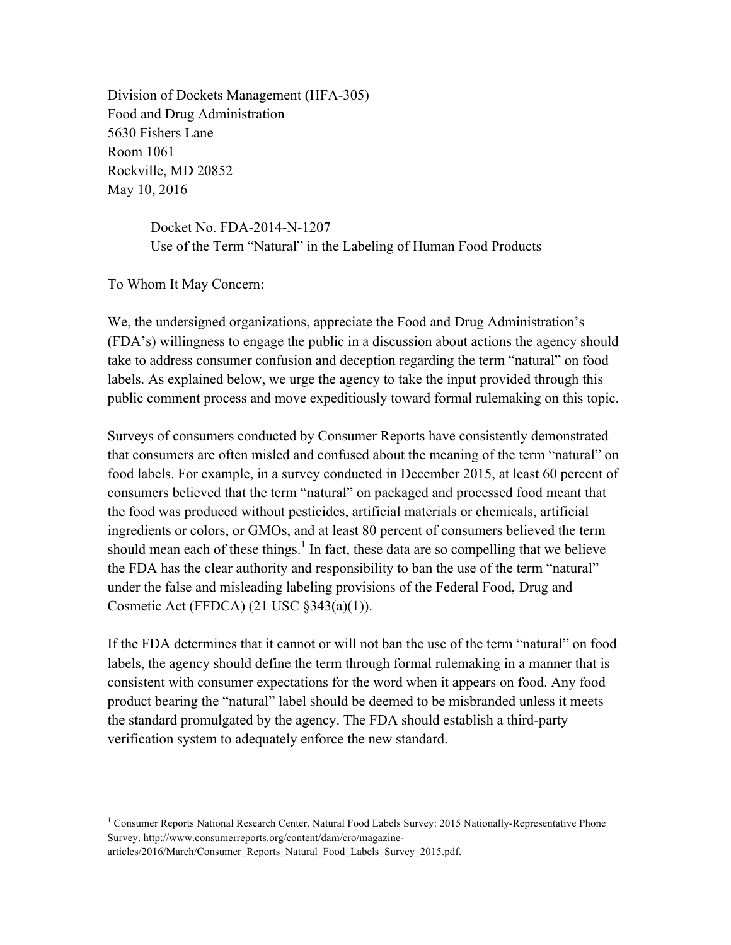Division of Dockets Management (HFA-305) Food and Drug Administration 5630 Fishers Lane Room 1061 Rockville, MD 20852 May 10, 2016

> Docket No. FDA-2014-N-1207 Use of the Term "Natural" in the Labeling of Human Food Products

To Whom It May Concern:

We, the undersigned organizations, appreciate the Food and Drug Administration's (FDA's) willingness to engage the public in a discussion about actions the agency should take to address consumer confusion and deception regarding the term "natural" on food labels. As explained below, we urge the agency to take the input provided through this public comment process and move expeditiously toward formal rulemaking on this topic.

Surveys of consumers conducted by Consumer Reports have consistently demonstrated that consumers are often misled and confused about the meaning of the term "natural" on food labels. For example, in a survey conducted in December 2015, at least 60 percent of consumers believed that the term "natural" on packaged and processed food meant that the food was produced without pesticides, artificial materials or chemicals, artificial ingredients or colors, or GMOs, and at least 80 percent of consumers believed the term should mean each of these things.<sup>1</sup> In fact, these data are so compelling that we believe the FDA has the clear authority and responsibility to ban the use of the term "natural" under the false and misleading labeling provisions of the Federal Food, Drug and Cosmetic Act (FFDCA) (21 USC §343(a)(1)).

If the FDA determines that it cannot or will not ban the use of the term "natural" on food labels, the agency should define the term through formal rulemaking in a manner that is consistent with consumer expectations for the word when it appears on food. Any food product bearing the "natural" label should be deemed to be misbranded unless it meets the standard promulgated by the agency. The FDA should establish a third-party verification system to adequately enforce the new standard.

<sup>&</sup>lt;sup>1</sup> Consumer Reports National Research Center. Natural Food Labels Survey: 2015 Nationally-Representative Phone Survey. http://www.consumerreports.org/content/dam/cro/magazine-

articles/2016/March/Consumer\_Reports\_Natural\_Food\_Labels\_Survey\_2015.pdf.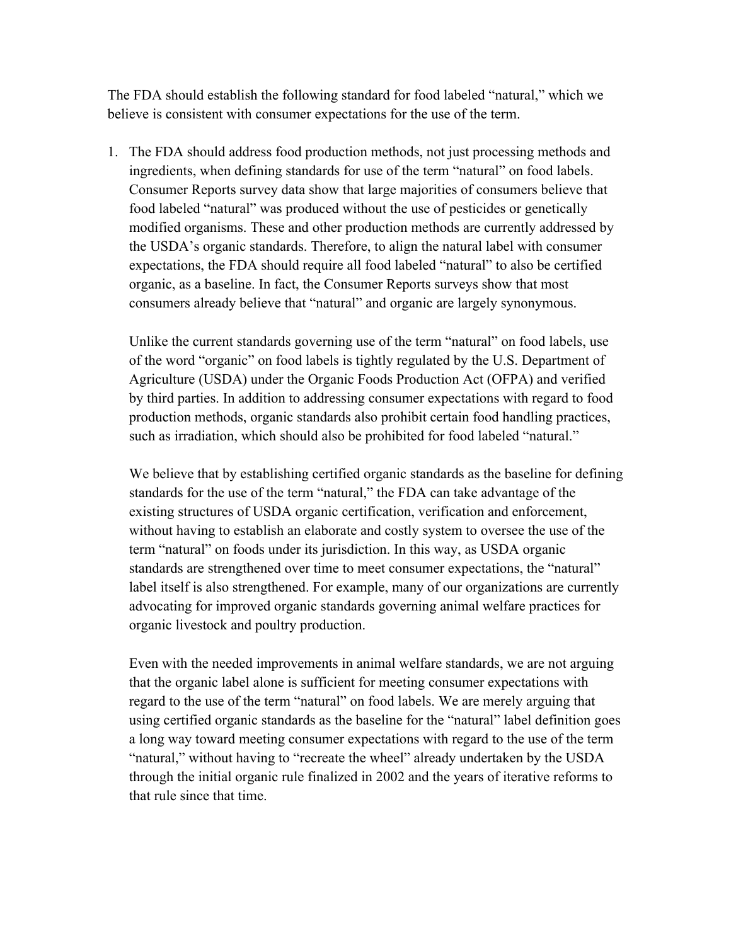The FDA should establish the following standard for food labeled "natural," which we believe is consistent with consumer expectations for the use of the term.

1. The FDA should address food production methods, not just processing methods and ingredients, when defining standards for use of the term "natural" on food labels. Consumer Reports survey data show that large majorities of consumers believe that food labeled "natural" was produced without the use of pesticides or genetically modified organisms. These and other production methods are currently addressed by the USDA's organic standards. Therefore, to align the natural label with consumer expectations, the FDA should require all food labeled "natural" to also be certified organic, as a baseline. In fact, the Consumer Reports surveys show that most consumers already believe that "natural" and organic are largely synonymous.

Unlike the current standards governing use of the term "natural" on food labels, use of the word "organic" on food labels is tightly regulated by the U.S. Department of Agriculture (USDA) under the Organic Foods Production Act (OFPA) and verified by third parties. In addition to addressing consumer expectations with regard to food production methods, organic standards also prohibit certain food handling practices, such as irradiation, which should also be prohibited for food labeled "natural."

We believe that by establishing certified organic standards as the baseline for defining standards for the use of the term "natural," the FDA can take advantage of the existing structures of USDA organic certification, verification and enforcement, without having to establish an elaborate and costly system to oversee the use of the term "natural" on foods under its jurisdiction. In this way, as USDA organic standards are strengthened over time to meet consumer expectations, the "natural" label itself is also strengthened. For example, many of our organizations are currently advocating for improved organic standards governing animal welfare practices for organic livestock and poultry production.

Even with the needed improvements in animal welfare standards, we are not arguing that the organic label alone is sufficient for meeting consumer expectations with regard to the use of the term "natural" on food labels. We are merely arguing that using certified organic standards as the baseline for the "natural" label definition goes a long way toward meeting consumer expectations with regard to the use of the term "natural," without having to "recreate the wheel" already undertaken by the USDA through the initial organic rule finalized in 2002 and the years of iterative reforms to that rule since that time.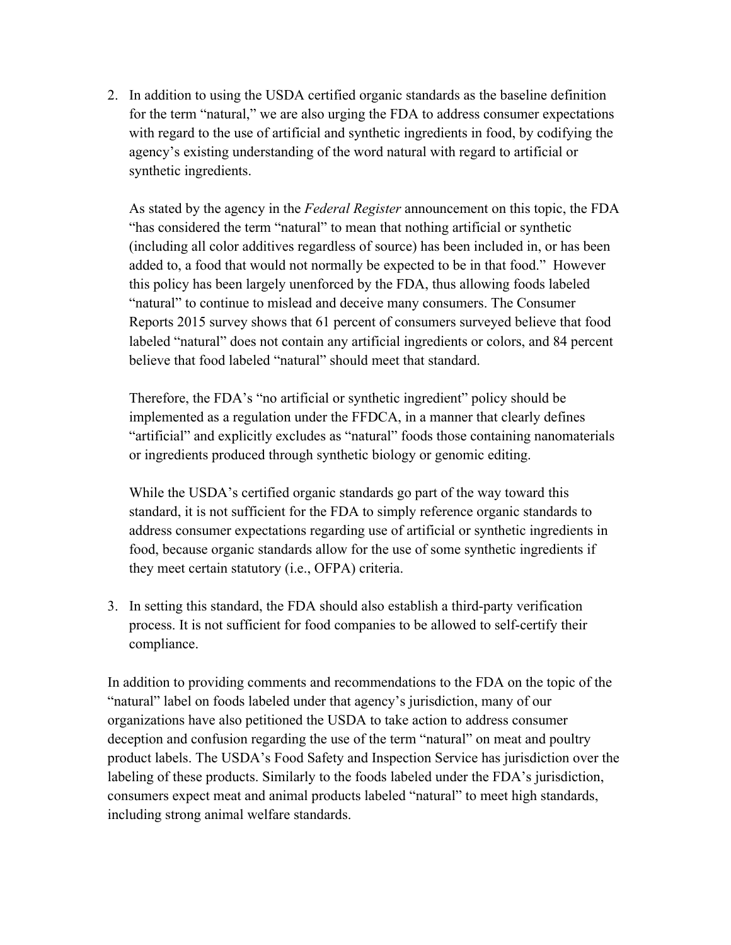2. In addition to using the USDA certified organic standards as the baseline definition for the term "natural," we are also urging the FDA to address consumer expectations with regard to the use of artificial and synthetic ingredients in food, by codifying the agency's existing understanding of the word natural with regard to artificial or synthetic ingredients.

As stated by the agency in the *Federal Register* announcement on this topic, the FDA "has considered the term "natural" to mean that nothing artificial or synthetic (including all color additives regardless of source) has been included in, or has been added to, a food that would not normally be expected to be in that food." However this policy has been largely unenforced by the FDA, thus allowing foods labeled "natural" to continue to mislead and deceive many consumers. The Consumer Reports 2015 survey shows that 61 percent of consumers surveyed believe that food labeled "natural" does not contain any artificial ingredients or colors, and 84 percent believe that food labeled "natural" should meet that standard.

Therefore, the FDA's "no artificial or synthetic ingredient" policy should be implemented as a regulation under the FFDCA, in a manner that clearly defines "artificial" and explicitly excludes as "natural" foods those containing nanomaterials or ingredients produced through synthetic biology or genomic editing.

While the USDA's certified organic standards go part of the way toward this standard, it is not sufficient for the FDA to simply reference organic standards to address consumer expectations regarding use of artificial or synthetic ingredients in food, because organic standards allow for the use of some synthetic ingredients if they meet certain statutory (i.e., OFPA) criteria.

3. In setting this standard, the FDA should also establish a third-party verification process. It is not sufficient for food companies to be allowed to self-certify their compliance.

In addition to providing comments and recommendations to the FDA on the topic of the "natural" label on foods labeled under that agency's jurisdiction, many of our organizations have also petitioned the USDA to take action to address consumer deception and confusion regarding the use of the term "natural" on meat and poultry product labels. The USDA's Food Safety and Inspection Service has jurisdiction over the labeling of these products. Similarly to the foods labeled under the FDA's jurisdiction, consumers expect meat and animal products labeled "natural" to meet high standards, including strong animal welfare standards.